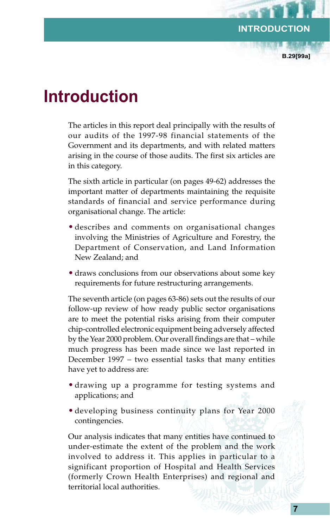**B.29[99a]**

## **Introduction**

The articles in this report deal principally with the results of our audits of the 1997-98 financial statements of the Government and its departments, and with related matters arising in the course of those audits. The first six articles are in this category.

The sixth article in particular (on pages 49-62) addresses the important matter of departments maintaining the requisite standards of financial and service performance during organisational change. The article:

- describes and comments on organisational changes involving the Ministries of Agriculture and Forestry, the Department of Conservation, and Land Information New Zealand; and
- draws conclusions from our observations about some key requirements for future restructuring arrangements.

The seventh article (on pages 63-86) sets out the results of our follow-up review of how ready public sector organisations are to meet the potential risks arising from their computer chip-controlled electronic equipment being adversely affected by the Year 2000 problem. Our overall findings are that – while much progress has been made since we last reported in December 1997 – two essential tasks that many entities have yet to address are:

- drawing up a programme for testing systems and applications; and
- developing business continuity plans for Year 2000 contingencies.

Our analysis indicates that many entities have continued to under-estimate the extent of the problem and the work involved to address it. This applies in particular to a significant proportion of Hospital and Health Services (formerly Crown Health Enterprises) and regional and territorial local authorities.